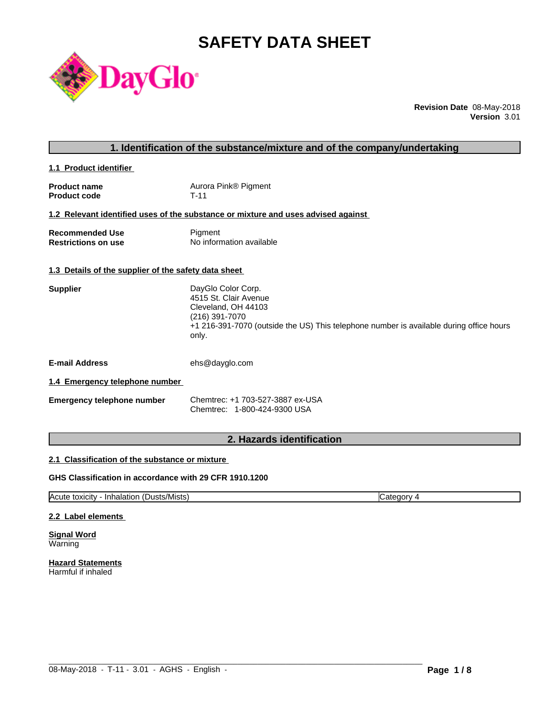# **SAFETY DATA SHEET**



**Revision Date** 08-May-2018 **Version** 3.01

| 1. Identification of the substance/mixture and of the company/undertaking |                                                                                                                                                                                          |  |
|---------------------------------------------------------------------------|------------------------------------------------------------------------------------------------------------------------------------------------------------------------------------------|--|
| 1.1 Product identifier                                                    |                                                                                                                                                                                          |  |
| <b>Product name</b><br><b>Product code</b>                                | Aurora Pink® Pigment<br>$T-11$                                                                                                                                                           |  |
|                                                                           | 1.2 Relevant identified uses of the substance or mixture and uses advised against                                                                                                        |  |
| <b>Recommended Use</b><br><b>Restrictions on use</b>                      | Pigment<br>No information available                                                                                                                                                      |  |
| 1.3 Details of the supplier of the safety data sheet                      |                                                                                                                                                                                          |  |
| <b>Supplier</b>                                                           | DayGlo Color Corp.<br>4515 St. Clair Avenue<br>Cleveland, OH 44103<br>(216) 391-7070<br>+1 216-391-7070 (outside the US) This telephone number is available during office hours<br>only. |  |
| <b>E-mail Address</b>                                                     | ehs@dayglo.com                                                                                                                                                                           |  |
| 1.4 Emergency telephone number                                            |                                                                                                                                                                                          |  |
| <b>Emergency telephone number</b>                                         | Chemtrec: +1 703-527-3887 ex-USA<br>Chemtrec: 1-800-424-9300 USA                                                                                                                         |  |
|                                                                           |                                                                                                                                                                                          |  |

# **2. Hazards identification**

# **2.1 Classification of the substance or mixture**

### **GHS Classification in accordance with 29 CFR 1910.1200**

Acute toxicity - Inhalation (Dusts/Mists) Category 4

 $\_$  ,  $\_$  ,  $\_$  ,  $\_$  ,  $\_$  ,  $\_$  ,  $\_$  ,  $\_$  ,  $\_$  ,  $\_$  ,  $\_$  ,  $\_$  ,  $\_$  ,  $\_$  ,  $\_$  ,  $\_$  ,  $\_$  ,  $\_$  ,  $\_$  ,  $\_$  ,  $\_$  ,  $\_$  ,  $\_$  ,  $\_$  ,  $\_$  ,  $\_$  ,  $\_$  ,  $\_$  ,  $\_$  ,  $\_$  ,  $\_$  ,  $\_$  ,  $\_$  ,  $\_$  ,  $\_$  ,  $\_$  ,  $\_$  ,

#### **2.2 Label elements**

**Signal Word** Warning

**Hazard Statements** Harmful if inhaled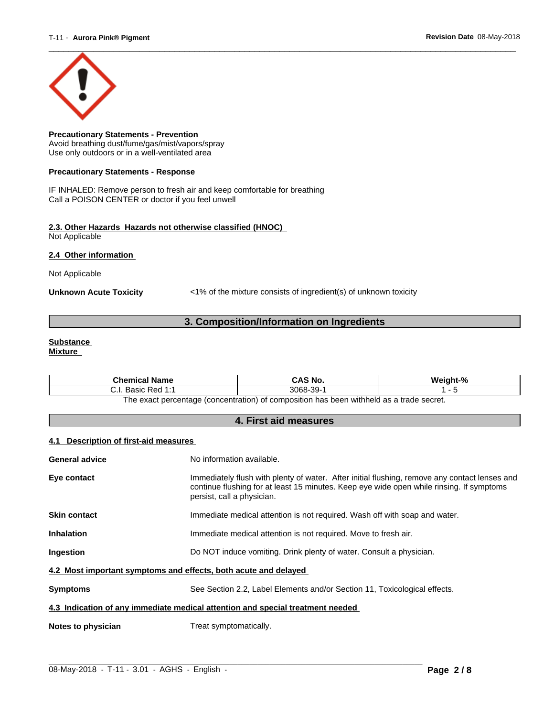

**Precautionary Statements - Prevention** Avoid breathing dust/fume/gas/mist/vapors/spray Use only outdoors or in a well-ventilated area

#### **Precautionary Statements - Response**

IF INHALED: Remove person to fresh air and keep comfortable for breathing Call a POISON CENTER or doctor if you feel unwell

#### **2.3. Other Hazards Hazards not otherwise classified (HNOC)** Not Applicable

**2.4 Other information** 

Not Applicable

**Unknown Acute Toxicity** <1% of the mixture consists of ingredient(s) of unknown toxicity

# **3. Composition/Information on Ingredients**

#### **Substance Mixture**

| <b>Chemical Name</b>                                                                                  | CAS No.  | Weight-% |  |
|-------------------------------------------------------------------------------------------------------|----------|----------|--|
| Basic Red 1:1                                                                                         | 3068-39- |          |  |
| ו withheld as a trade secret.<br>The exact percentage (concentration) of composition has been $\cdot$ |          |          |  |

**4. First aid measures**

#### **4.1 Description of first-aid measures**

| General advice                                                                 | No information available.                                                                                                                                                                                               |  |
|--------------------------------------------------------------------------------|-------------------------------------------------------------------------------------------------------------------------------------------------------------------------------------------------------------------------|--|
| Eye contact                                                                    | Immediately flush with plenty of water. After initial flushing, remove any contact lenses and<br>continue flushing for at least 15 minutes. Keep eye wide open while rinsing. If symptoms<br>persist, call a physician. |  |
| <b>Skin contact</b>                                                            | Immediate medical attention is not required. Wash off with soap and water.                                                                                                                                              |  |
| <b>Inhalation</b>                                                              | Immediate medical attention is not required. Move to fresh air.                                                                                                                                                         |  |
| Ingestion                                                                      | Do NOT induce vomiting. Drink plenty of water. Consult a physician.                                                                                                                                                     |  |
| 4.2 Most important symptoms and effects, both acute and delayed                |                                                                                                                                                                                                                         |  |
| <b>Symptoms</b>                                                                | See Section 2.2, Label Elements and/or Section 11, Toxicological effects.                                                                                                                                               |  |
| 4.3 Indication of any immediate medical attention and special treatment needed |                                                                                                                                                                                                                         |  |
| Notes to physician                                                             | Treat symptomatically.                                                                                                                                                                                                  |  |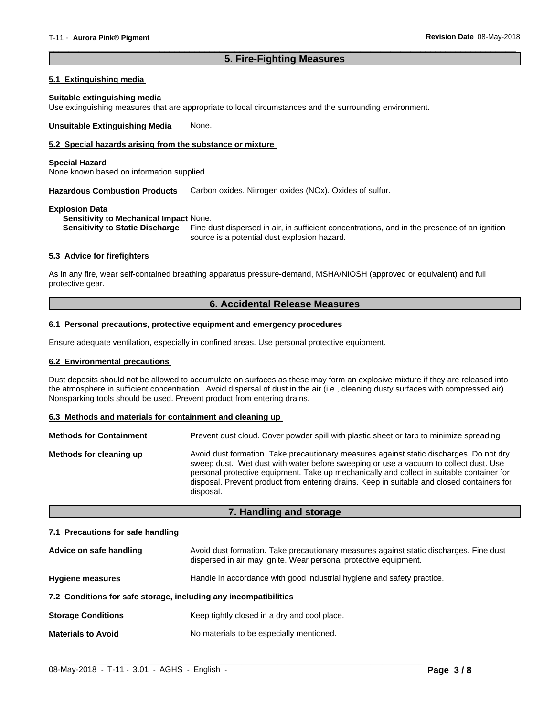# **5. Fire-Fighting Measures**

 $\overline{\phantom{a}}$  ,  $\overline{\phantom{a}}$  ,  $\overline{\phantom{a}}$  ,  $\overline{\phantom{a}}$  ,  $\overline{\phantom{a}}$  ,  $\overline{\phantom{a}}$  ,  $\overline{\phantom{a}}$  ,  $\overline{\phantom{a}}$  ,  $\overline{\phantom{a}}$  ,  $\overline{\phantom{a}}$  ,  $\overline{\phantom{a}}$  ,  $\overline{\phantom{a}}$  ,  $\overline{\phantom{a}}$  ,  $\overline{\phantom{a}}$  ,  $\overline{\phantom{a}}$  ,  $\overline{\phantom{a}}$ 

#### **5.1 Extinguishing media**

#### **Suitable extinguishing media**

Use extinguishing measures that are appropriate to local circumstances and the surrounding environment.

**Unsuitable Extinguishing Media** None.

### **5.2 Special hazards arising from the substance or mixture**

#### **Special Hazard**

None known based on information supplied.

**Hazardous Combustion Products** Carbon oxides. Nitrogen oxides (NOx). Oxides of sulfur.

#### **Explosion Data**

**Sensitivity to Mechanical Impact** None.

**Sensitivity to Static Discharge** Fine dust dispersed in air, in sufficient concentrations, and in the presence of an ignition source is a potential dust explosion hazard.

#### **5.3 Advice for firefighters**

As in any fire, wear self-contained breathing apparatus pressure-demand, MSHA/NIOSH (approved or equivalent) and full protective gear.

# **6. Accidental Release Measures**

#### **6.1 Personal precautions, protective equipment and emergency procedures**

Ensure adequate ventilation, especially in confined areas. Use personal protective equipment.

#### **6.2 Environmental precautions**

Dust deposits should not be allowed to accumulate on surfaces as these may form an explosive mixture if they are released into the atmosphere in sufficient concentration. Avoid dispersal of dust in the air (i.e., cleaning dusty surfaces with compressed air). Nonsparking tools should be used. Prevent product from entering drains.

#### **6.3 Methods and materials for containment and cleaning up**

| <b>Methods for Containment</b> | Prevent dust cloud. Cover powder spill with plastic sheet or tarp to minimize spreading.                                                                                                                                                                                                                                                                                                |
|--------------------------------|-----------------------------------------------------------------------------------------------------------------------------------------------------------------------------------------------------------------------------------------------------------------------------------------------------------------------------------------------------------------------------------------|
| Methods for cleaning up        | Avoid dust formation. Take precautionary measures against static discharges. Do not dry<br>sweep dust. Wet dust with water before sweeping or use a vacuum to collect dust. Use<br>personal protective equipment. Take up mechanically and collect in suitable container for<br>disposal. Prevent product from entering drains. Keep in suitable and closed containers for<br>disposal. |

## **7. Handling and storage**

#### **7.1 Precautions for safe handling**

| Advice on safe handling                                          | Avoid dust formation. Take precautionary measures against static discharges. Fine dust<br>dispersed in air may ignite. Wear personal protective equipment. |  |
|------------------------------------------------------------------|------------------------------------------------------------------------------------------------------------------------------------------------------------|--|
| <b>Hygiene measures</b>                                          | Handle in accordance with good industrial hygiene and safety practice.                                                                                     |  |
| 7.2 Conditions for safe storage, including any incompatibilities |                                                                                                                                                            |  |
| <b>Storage Conditions</b>                                        | Keep tightly closed in a dry and cool place.                                                                                                               |  |
| <b>Materials to Avoid</b>                                        | No materials to be especially mentioned.                                                                                                                   |  |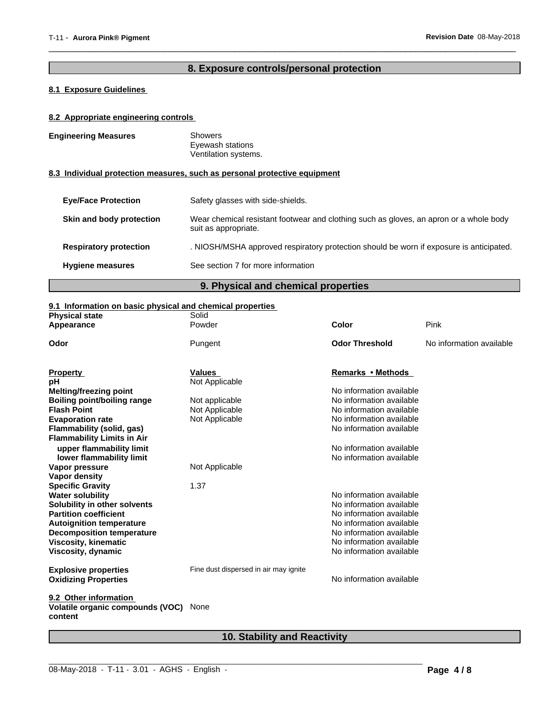# **8. Exposure controls/personal protection**

 $\overline{\phantom{a}}$  ,  $\overline{\phantom{a}}$  ,  $\overline{\phantom{a}}$  ,  $\overline{\phantom{a}}$  ,  $\overline{\phantom{a}}$  ,  $\overline{\phantom{a}}$  ,  $\overline{\phantom{a}}$  ,  $\overline{\phantom{a}}$  ,  $\overline{\phantom{a}}$  ,  $\overline{\phantom{a}}$  ,  $\overline{\phantom{a}}$  ,  $\overline{\phantom{a}}$  ,  $\overline{\phantom{a}}$  ,  $\overline{\phantom{a}}$  ,  $\overline{\phantom{a}}$  ,  $\overline{\phantom{a}}$ 

# **8.1 Exposure Guidelines**

### **8.2 Appropriate engineering controls**

| <b>Engineering Measures</b><br><b>Showers</b><br>Eyewash stations<br>Ventilation systems.                                                  |  |
|--------------------------------------------------------------------------------------------------------------------------------------------|--|
| 8.3 Individual protection measures, such as personal protective equipment                                                                  |  |
| Safety glasses with side-shields.<br><b>Eve/Face Protection</b>                                                                            |  |
| Wear chemical resistant footwear and clothing such as gloves, an apron or a whole body<br>Skin and body protection<br>suit as appropriate. |  |
| . NIOSH/MSHA approved respiratory protection should be worn if exposure is anticipated.<br><b>Respiratory protection</b>                   |  |
| See section 7 for more information<br><b>Hygiene measures</b>                                                                              |  |

**9. Physical and chemical properties**

# **9.1 Information on basic physical and chemical properties**

| <b>Physical state</b>                                                | Solid                                 |                          |                          |
|----------------------------------------------------------------------|---------------------------------------|--------------------------|--------------------------|
| Appearance                                                           | Powder                                | Color                    | Pink                     |
| Odor                                                                 | Pungent                               | <b>Odor Threshold</b>    | No information available |
| <b>Property</b>                                                      | Values                                | Remarks • Methods        |                          |
| рH                                                                   | Not Applicable                        |                          |                          |
| Melting/freezing point                                               |                                       | No information available |                          |
| Boiling point/boiling range                                          | Not applicable                        | No information available |                          |
| <b>Flash Point</b>                                                   | Not Applicable                        | No information available |                          |
| <b>Evaporation rate</b>                                              | Not Applicable                        | No information available |                          |
| Flammability (solid, gas)                                            |                                       | No information available |                          |
| <b>Flammability Limits in Air</b>                                    |                                       |                          |                          |
| upper flammability limit                                             |                                       | No information available |                          |
| lower flammability limit                                             |                                       | No information available |                          |
| Vapor pressure                                                       | Not Applicable                        |                          |                          |
| <b>Vapor density</b>                                                 |                                       |                          |                          |
| <b>Specific Gravity</b>                                              | 1.37                                  |                          |                          |
| <b>Water solubility</b>                                              |                                       | No information available |                          |
| Solubility in other solvents                                         |                                       | No information available |                          |
| <b>Partition coefficient</b>                                         |                                       | No information available |                          |
| <b>Autoignition temperature</b>                                      |                                       | No information available |                          |
| <b>Decomposition temperature</b>                                     |                                       | No information available |                          |
| <b>Viscosity, kinematic</b>                                          |                                       | No information available |                          |
| Viscosity, dynamic                                                   |                                       | No information available |                          |
| <b>Explosive properties</b>                                          | Fine dust dispersed in air may ignite |                          |                          |
| <b>Oxidizing Properties</b>                                          |                                       | No information available |                          |
| 9.2 Other information<br>Volatile organic compounds (VOC)<br>content | None                                  |                          |                          |
|                                                                      |                                       |                          |                          |

# **10. Stability and Reactivity**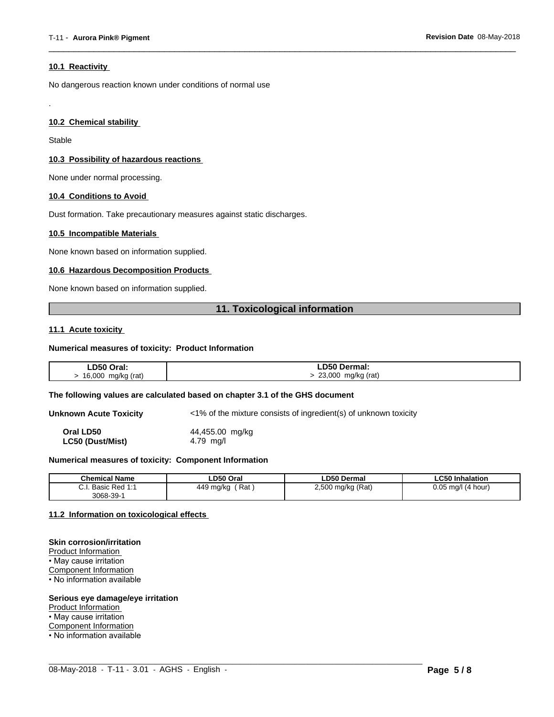#### **10.1 Reactivity**

No dangerous reaction known under conditions of normal use

### **10.2 Chemical stability**

Stable

.

#### **10.3 Possibility of hazardous reactions**

None under normal processing.

#### **10.4 Conditions to Avoid**

Dust formation. Take precautionary measures against static discharges.

#### **10.5 Incompatible Materials**

None known based on information supplied.

#### **10.6 Hazardous Decomposition Products**

None known based on information supplied.

# **11. Toxicological information**

 $\overline{\phantom{a}}$  ,  $\overline{\phantom{a}}$  ,  $\overline{\phantom{a}}$  ,  $\overline{\phantom{a}}$  ,  $\overline{\phantom{a}}$  ,  $\overline{\phantom{a}}$  ,  $\overline{\phantom{a}}$  ,  $\overline{\phantom{a}}$  ,  $\overline{\phantom{a}}$  ,  $\overline{\phantom{a}}$  ,  $\overline{\phantom{a}}$  ,  $\overline{\phantom{a}}$  ,  $\overline{\phantom{a}}$  ,  $\overline{\phantom{a}}$  ,  $\overline{\phantom{a}}$  ,  $\overline{\phantom{a}}$ 

#### **11.1 Acute toxicity**

#### **Numerical measures of toxicity: Product Information**

| LD50 Oral:  | <b>LD50 Dermal:</b> |
|-------------|---------------------|
| 16,000      | 23,000              |
| mg/kg (rat) | mg/kg (rat)         |

#### **The following values are calculated based on chapter 3.1 of the GHS document**

**Unknown Acute Toxicity** <1% of the mixture consists of ingredient(s) of unknown toxicity

**Oral LD50** 44,455.00 mg/kg **LC50 (Dust/Mist)** 4.79 mg/l

#### **Numerical measures of toxicity: Component Information**

| <b>Chemical Name</b>                                                                | LD50 Oral        | <b>LD50 Dermal</b>     | <b>LC50 Inhalation</b>   |
|-------------------------------------------------------------------------------------|------------------|------------------------|--------------------------|
| $\sim$<br>$Dod$ 4.4<br><b>Dooin</b><br><b>D</b> asic<br>$\mathsf{r}$ Req.i.<br>υ.ι. | Rat<br>449 mg/kg | ) mg/kg (Rat)<br>2,500 | 0.05<br>(4 hour)<br>ma/l |
| $3068 - 39 - 7$                                                                     |                  |                        |                          |

 $\_$  ,  $\_$  ,  $\_$  ,  $\_$  ,  $\_$  ,  $\_$  ,  $\_$  ,  $\_$  ,  $\_$  ,  $\_$  ,  $\_$  ,  $\_$  ,  $\_$  ,  $\_$  ,  $\_$  ,  $\_$  ,  $\_$  ,  $\_$  ,  $\_$  ,  $\_$  ,  $\_$  ,  $\_$  ,  $\_$  ,  $\_$  ,  $\_$  ,  $\_$  ,  $\_$  ,  $\_$  ,  $\_$  ,  $\_$  ,  $\_$  ,  $\_$  ,  $\_$  ,  $\_$  ,  $\_$  ,  $\_$  ,  $\_$  ,

#### **11.2 Information on toxicologicaleffects**

#### **Skin corrosion/irritation**

Product Information • May cause irritation Component Information • No information available

#### **Serious eye damage/eye irritation**

Product Information

• May cause irritation

Component Information

• No information available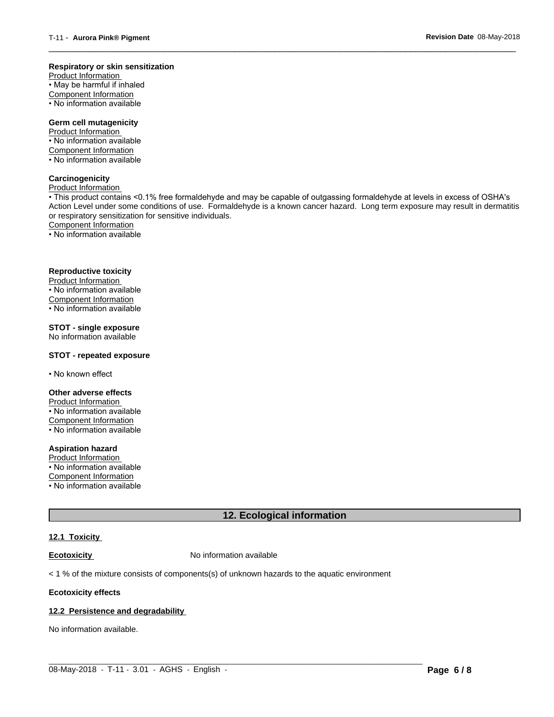#### **Respiratory or skin sensitization**

Product Information  $\overline{\cdot}$  May be harmful if inhaled Component Information • No information available

# **Germ cell mutagenicity**

Product Information • No information available Component Information • No information available

# **Carcinogenicity**

Product Information

• This product contains <0.1% free formaldehyde and may be capable of outgassing formaldehyde at levels in excess of OSHA's Action Level under some conditions of use. Formaldehyde is a known cancer hazard. Long term exposure may result in dermatitis or respiratory sensitization for sensitive individuals.Component Information

 $\overline{\phantom{a}}$  ,  $\overline{\phantom{a}}$  ,  $\overline{\phantom{a}}$  ,  $\overline{\phantom{a}}$  ,  $\overline{\phantom{a}}$  ,  $\overline{\phantom{a}}$  ,  $\overline{\phantom{a}}$  ,  $\overline{\phantom{a}}$  ,  $\overline{\phantom{a}}$  ,  $\overline{\phantom{a}}$  ,  $\overline{\phantom{a}}$  ,  $\overline{\phantom{a}}$  ,  $\overline{\phantom{a}}$  ,  $\overline{\phantom{a}}$  ,  $\overline{\phantom{a}}$  ,  $\overline{\phantom{a}}$ 

• No information available

#### **Reproductive toxicity**

Product Information • No information available

Component Information

• No information available

# **STOT - single exposure**

No information available

#### **STOT - repeated exposure**

• No known effect

#### **Other adverse effects**

Product Information • No information available Component Information • No information available

# **Aspiration hazard**

Product Information • No information available

Component Information

• No information available

# **12. Ecological information**

# **12.1 Toxicity**

**Ecotoxicity No information available** 

 $<$  1 % of the mixture consists of components(s) of unknown hazards to the aquatic environment

#### **Ecotoxicity effects**

#### **12.2 Persistence and degradability**

No information available.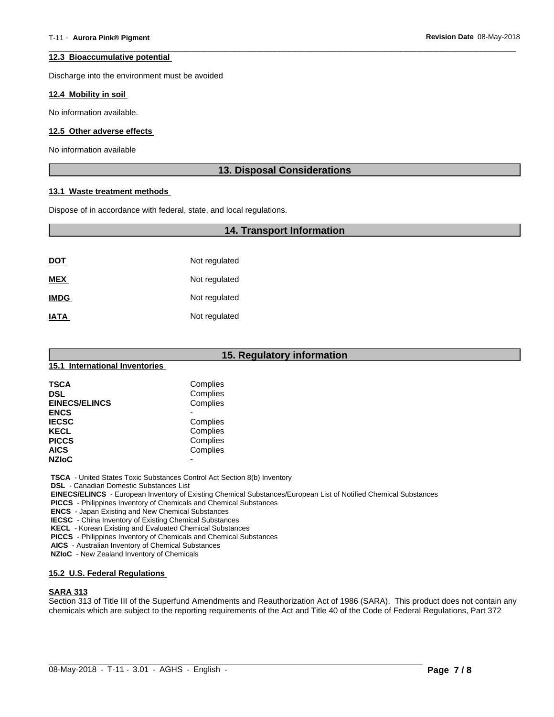#### **12.3 Bioaccumulative potential**

Discharge into the environment must be avoided

#### **12.4 Mobility in soil**

No information available.

#### **12.5 Other adverse effects**

No information available

# **13. Disposal Considerations**

 $\overline{\phantom{a}}$  ,  $\overline{\phantom{a}}$  ,  $\overline{\phantom{a}}$  ,  $\overline{\phantom{a}}$  ,  $\overline{\phantom{a}}$  ,  $\overline{\phantom{a}}$  ,  $\overline{\phantom{a}}$  ,  $\overline{\phantom{a}}$  ,  $\overline{\phantom{a}}$  ,  $\overline{\phantom{a}}$  ,  $\overline{\phantom{a}}$  ,  $\overline{\phantom{a}}$  ,  $\overline{\phantom{a}}$  ,  $\overline{\phantom{a}}$  ,  $\overline{\phantom{a}}$  ,  $\overline{\phantom{a}}$ 

#### **13.1 Waste treatment methods**

Dispose of in accordance with federal, state, and local regulations.

# **14. Transport Information**

| <u>DOT</u>  | Not regulated |
|-------------|---------------|
| <b>MEX</b>  | Not regulated |
| <b>IMDG</b> | Not regulated |
| <b>IATA</b> | Not regulated |

| 15. Regulatory information     |                          |  |
|--------------------------------|--------------------------|--|
| 15.1 International Inventories |                          |  |
| <b>TSCA</b>                    | Complies                 |  |
| <b>DSL</b>                     | Complies                 |  |
| <b>EINECS/ELINCS</b>           | Complies                 |  |
| <b>ENCS</b>                    |                          |  |
| <b>IECSC</b>                   | Complies                 |  |
| <b>KECL</b>                    | Complies                 |  |
| <b>PICCS</b>                   | Complies                 |  |
| <b>AICS</b>                    | Complies                 |  |
| <b>NZIoC</b>                   | $\overline{\phantom{0}}$ |  |

 **TSCA** - United States Toxic Substances Control Act Section 8(b) Inventory

 **DSL** - Canadian Domestic Substances List

 **EINECS/ELINCS** - European Inventory of Existing Chemical Substances/European List of Notified Chemical Substances

 **PICCS** - Philippines Inventory of Chemicals and Chemical Substances

 **ENCS** - Japan Existing and New Chemical Substances

 **IECSC** - China Inventory of Existing Chemical Substances

 **KECL** - Korean Existing and Evaluated Chemical Substances

 **PICCS** - Philippines Inventory of Chemicals and Chemical Substances

 **AICS** - Australian Inventory of Chemical Substances

 **NZIoC** - New Zealand Inventory of Chemicals

#### **15.2 U.S. Federal Regulations**

#### **SARA 313**

Section 313 of Title III of the Superfund Amendments and Reauthorization Act of 1986 (SARA). This product does not contain any chemicals which are subject to the reporting requirements of the Act and Title 40 of the Code of Federal Regulations, Part 372